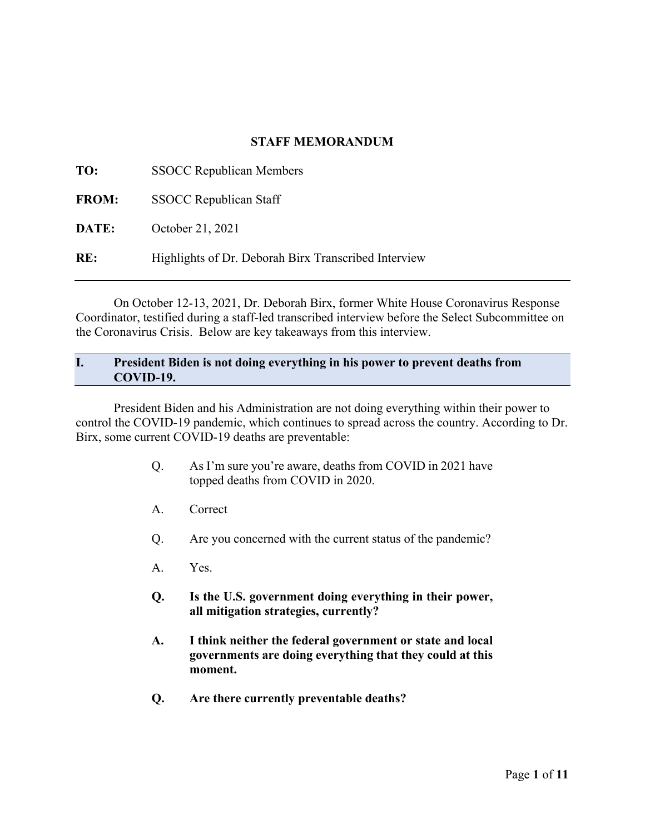#### **STAFF MEMORANDUM**

| TO:          | <b>SSOCC Republican Members</b>                      |
|--------------|------------------------------------------------------|
| <b>FROM:</b> | <b>SSOCC</b> Republican Staff                        |
| DATE:        | October 21, 2021                                     |
| RE:          | Highlights of Dr. Deborah Birx Transcribed Interview |

On October 12-13, 2021, Dr. Deborah Birx, former White House Coronavirus Response Coordinator, testified during a staff-led transcribed interview before the Select Subcommittee on the Coronavirus Crisis. Below are key takeaways from this interview.

#### **I. President Biden is not doing everything in his power to prevent deaths from COVID-19.**

President Biden and his Administration are not doing everything within their power to control the COVID-19 pandemic, which continues to spread across the country. According to Dr. Birx, some current COVID-19 deaths are preventable:

- Q. As I'm sure you're aware, deaths from COVID in 2021 have topped deaths from COVID in 2020.
- A. Correct
- Q. Are you concerned with the current status of the pandemic?
- A. Yes.
- **Q. Is the U.S. government doing everything in their power, all mitigation strategies, currently?**
- **A. I think neither the federal government or state and local governments are doing everything that they could at this moment.**
- **Q. Are there currently preventable deaths?**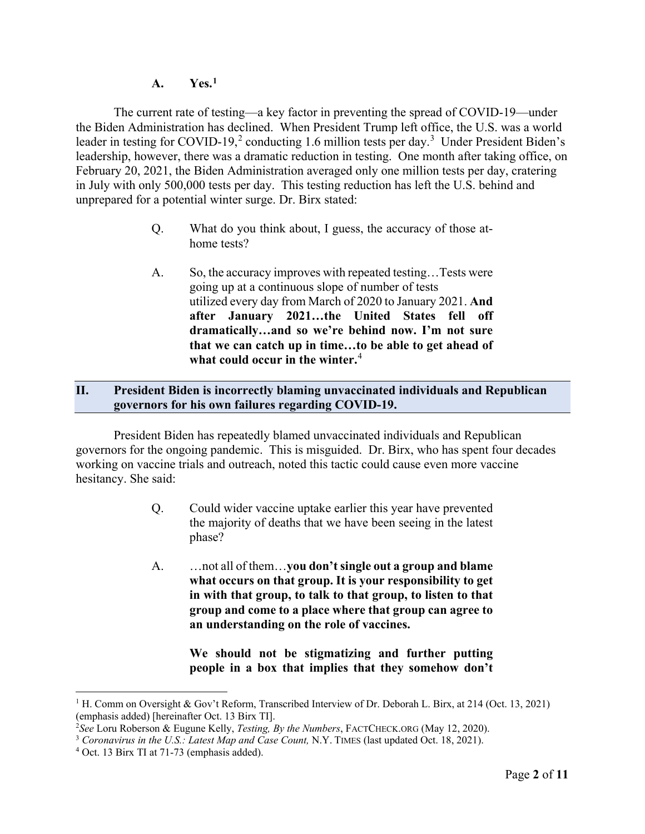#### **A. Yes.[1](#page-1-0)**

The current rate of testing—a key factor in preventing the spread of COVID-19—under the Biden Administration has declined. When President Trump left office, the U.S. was a world leader in testing for COVID-19,<sup>[2](#page-1-1)</sup> conducting 1.6 million tests per day.<sup>[3](#page-1-2)</sup> Under President Biden's leadership, however, there was a dramatic reduction in testing. One month after taking office, on February 20, 2021, the Biden Administration averaged only one million tests per day, cratering in July with only 500,000 tests per day. This testing reduction has left the U.S. behind and unprepared for a potential winter surge. Dr. Birx stated:

- Q. What do you think about, I guess, the accuracy of those athome tests?
- A. So, the accuracy improves with repeated testing…Tests were going up at a continuous slope of number of tests utilized every day from March of 2020 to January 2021. **And after January 2021…the United States fell off dramatically…and so we're behind now. I'm not sure that we can catch up in time…to be able to get ahead of what could occur in the winter.**[4](#page-1-3)

## **II. President Biden is incorrectly blaming unvaccinated individuals and Republican governors for his own failures regarding COVID-19.**

President Biden has repeatedly blamed unvaccinated individuals and Republican governors for the ongoing pandemic. This is misguided. Dr. Birx, who has spent four decades working on vaccine trials and outreach, noted this tactic could cause even more vaccine hesitancy. She said:

- Q. Could wider vaccine uptake earlier this year have prevented the majority of deaths that we have been seeing in the latest phase?
- A. …not all of them…**you don't single out a group and blame what occurs on that group. It is your responsibility to get in with that group, to talk to that group, to listen to that group and come to a place where that group can agree to an understanding on the role of vaccines.**

**We should not be stigmatizing and further putting people in a box that implies that they somehow don't**

<span id="page-1-0"></span><sup>1</sup> H. Comm on Oversight & Gov't Reform, Transcribed Interview of Dr. Deborah L. Birx, at 214 (Oct. 13, 2021) (emphasis added) [hereinafter Oct. 13 Birx TI].

<sup>2</sup> *See* Loru Roberson & Eugune Kelly, *Testing, By the Numbers*, FACTCHECK.ORG (May 12, 2020).

<span id="page-1-2"></span><span id="page-1-1"></span><sup>&</sup>lt;sup>3</sup> *Coronavirus in the U.S.: Latest Map and Case Count*, N.Y. TIMES (last updated Oct. 18, 2021). <sup>4</sup> Oct. 13 Birx TI at 71-73 (emphasis added).

<span id="page-1-3"></span>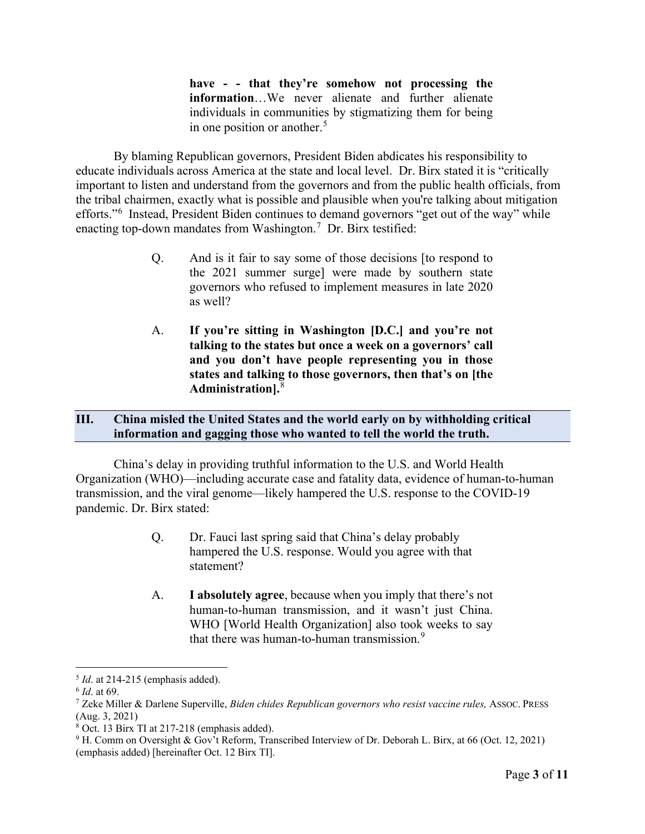**have - - that they're somehow not processing the information**…We never alienate and further alienate individuals in communities by stigmatizing them for being in one position or another.<sup>[5](#page-2-0)</sup>

By blaming Republican governors, President Biden abdicates his responsibility to educate individuals across America at the state and local level. Dr. Birx stated it is "critically important to listen and understand from the governors and from the public health officials, from the tribal chairmen, exactly what is possible and plausible when you're talking about mitigation efforts."[6](#page-2-1) Instead, President Biden continues to demand governors "get out of the way" while enacting top-down mandates from Washington.<sup>[7](#page-2-2)</sup> Dr. Birx testified:

- Q. And is it fair to say some of those decisions [to respond to the 2021 summer surge] were made by southern state governors who refused to implement measures in late 2020 as well?
- A. **If you're sitting in Washington [D.C.] and you're not talking to the states but once a week on a governors' call and you don't have people representing you in those states and talking to those governors, then that's on [the Administration].**[8](#page-2-3)

## **III. China misled the United States and the world early on by withholding critical information and gagging those who wanted to tell the world the truth.**

China's delay in providing truthful information to the U.S. and World Health Organization (WHO)—including accurate case and fatality data, evidence of human-to-human transmission, and the viral genome—likely hampered the U.S. response to the COVID-19 pandemic. Dr. Birx stated:

- Q. Dr. Fauci last spring said that China's delay probably hampered the U.S. response. Would you agree with that statement?
- A. **I absolutely agree**, because when you imply that there's not human-to-human transmission, and it wasn't just China. WHO [World Health Organization] also took weeks to say that there was human-to-human transmission.<sup>[9](#page-2-4)</sup>

<span id="page-2-0"></span><sup>5</sup> *Id*. at 214-215 (emphasis added).

<span id="page-2-1"></span><sup>6</sup> *Id*. at 69.

<span id="page-2-2"></span><sup>7</sup> Zeke Miller & Darlene Superville, *Biden chides Republican governors who resist vaccine rules,* ASSOC. PRESS (Aug. 3, 2021)

<span id="page-2-3"></span><sup>8</sup> Oct. 13 Birx TI at 217-218 (emphasis added).

<span id="page-2-4"></span><sup>9</sup> H. Comm on Oversight & Gov't Reform, Transcribed Interview of Dr. Deborah L. Birx, at 66 (Oct. 12, 2021) (emphasis added) [hereinafter Oct. 12 Birx TI].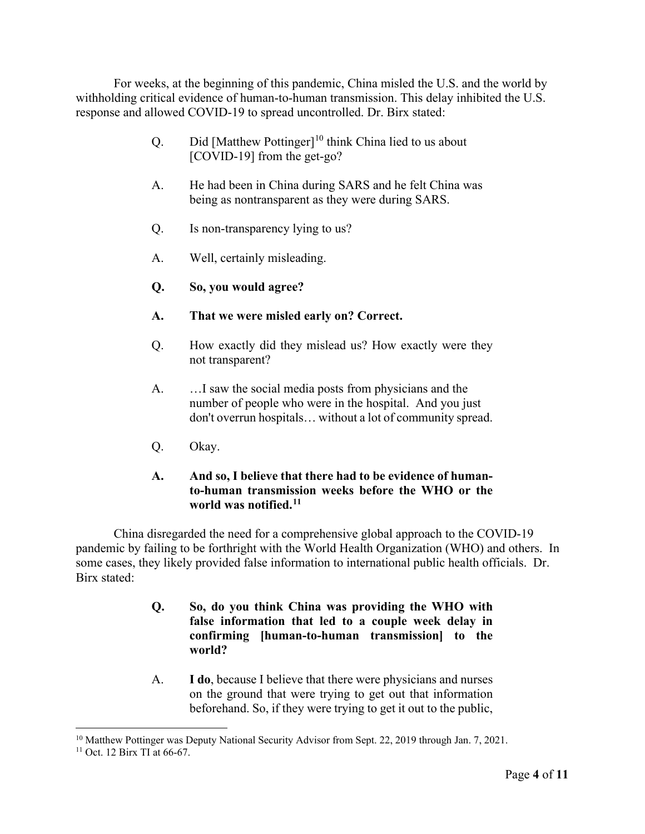For weeks, at the beginning of this pandemic, China misled the U.S. and the world by withholding critical evidence of human-to-human transmission. This delay inhibited the U.S. response and allowed COVID-19 to spread uncontrolled. Dr. Birx stated:

- Q. Did [Matthew Pottinger]<sup>[10](#page-3-0)</sup> think China lied to us about [COVID-19] from the get-go?
- A. He had been in China during SARS and he felt China was being as nontransparent as they were during SARS.
- Q. Is non-transparency lying to us?
- A. Well, certainly misleading.
- **Q. So, you would agree?**
- **A. That we were misled early on? Correct.**
- Q. How exactly did they mislead us? How exactly were they not transparent?
- A. …I saw the social media posts from physicians and the number of people who were in the hospital. And you just don't overrun hospitals… without a lot of community spread.
- Q. Okay.

## **A. And so, I believe that there had to be evidence of humanto-human transmission weeks before the WHO or the world was notified.[11](#page-3-1)**

China disregarded the need for a comprehensive global approach to the COVID-19 pandemic by failing to be forthright with the World Health Organization (WHO) and others. In some cases, they likely provided false information to international public health officials. Dr. Birx stated:

## **Q. So, do you think China was providing the WHO with false information that led to a couple week delay in confirming [human-to-human transmission] to the world?**

A. **I do**, because I believe that there were physicians and nurses on the ground that were trying to get out that information beforehand. So, if they were trying to get it out to the public,

<span id="page-3-1"></span><span id="page-3-0"></span><sup>&</sup>lt;sup>10</sup> Matthew Pottinger was Deputy National Security Advisor from Sept. 22, 2019 through Jan. 7, 2021.<br><sup>11</sup> Oct. 12 Birx TI at 66-67.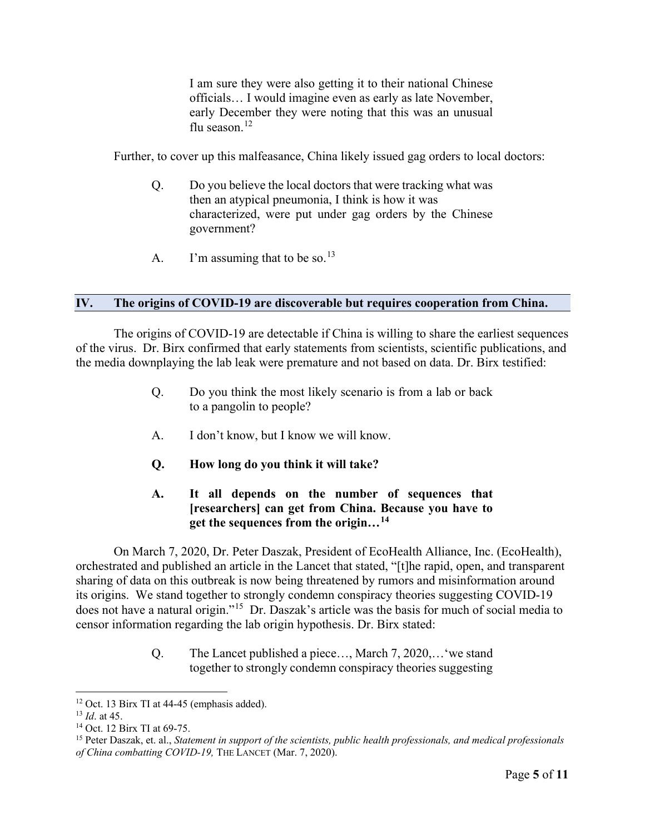I am sure they were also getting it to their national Chinese officials… I would imagine even as early as late November, early December they were noting that this was an unusual flu season.<sup>[12](#page-4-0)</sup>

Further, to cover up this malfeasance, China likely issued gag orders to local doctors:

- Q. Do you believe the local doctors that were tracking what was then an atypical pneumonia, I think is how it was characterized, were put under gag orders by the Chinese government?
- A. I'm assuming that to be so.<sup>[13](#page-4-1)</sup>

#### **IV. The origins of COVID-19 are discoverable but requires cooperation from China.**

The origins of COVID-19 are detectable if China is willing to share the earliest sequences of the virus. Dr. Birx confirmed that early statements from scientists, scientific publications, and the media downplaying the lab leak were premature and not based on data. Dr. Birx testified:

- Q. Do you think the most likely scenario is from a lab or back to a pangolin to people?
- A. I don't know, but I know we will know.
- **Q. How long do you think it will take?**
- **A. It all depends on the number of sequences that [researchers] can get from China. Because you have to get the sequences from the origin…[14](#page-4-2)**

On March 7, 2020, Dr. Peter Daszak, President of EcoHealth Alliance, Inc. (EcoHealth), orchestrated and published an article in the Lancet that stated, "[t]he rapid, open, and transparent sharing of data on this outbreak is now being threatened by rumors and misinformation around its origins. We stand together to strongly condemn conspiracy theories suggesting COVID-19 does not have a natural origin."[15](#page-4-3) Dr. Daszak's article was the basis for much of social media to censor information regarding the lab origin hypothesis. Dr. Birx stated:

> Q. The Lancet published a piece…, March 7, 2020,…'we stand together to strongly condemn conspiracy theories suggesting

<span id="page-4-0"></span><sup>&</sup>lt;sup>12</sup> Oct. 13 Birx TI at 44-45 (emphasis added).<br><sup>13</sup> *Id.* at 45.

<span id="page-4-1"></span>

<span id="page-4-2"></span><sup>&</sup>lt;sup>14</sup> Oct. 12 Birx TI at 69-75.

<span id="page-4-3"></span><sup>15</sup> Peter Daszak, et. al., *Statement in support of the scientists, public health professionals, and medical professionals of China combatting COVID-19,* THE LANCET (Mar. 7, 2020).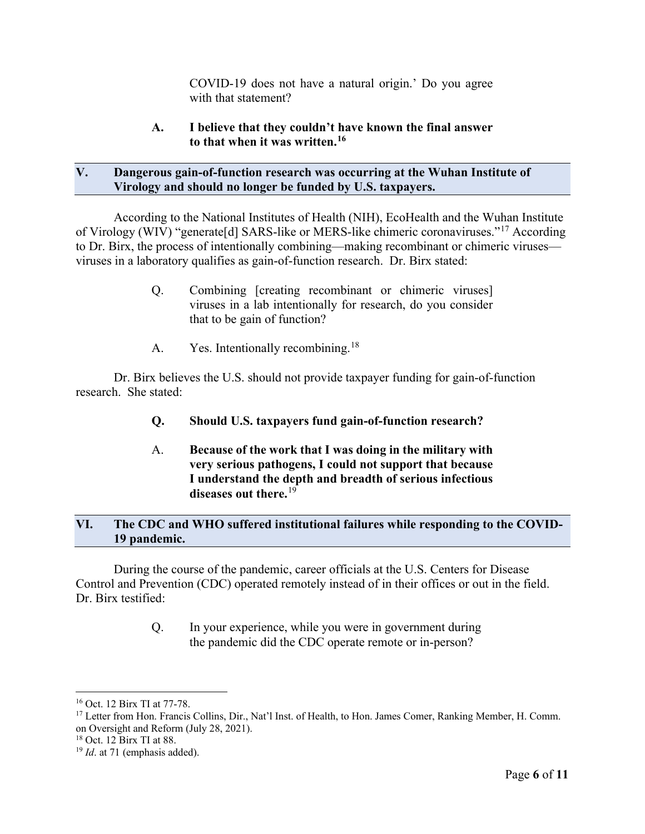COVID-19 does not have a natural origin.' Do you agree with that statement?

### **A. I believe that they couldn't have known the final answer to that when it was written.[16](#page-5-0)**

## **V. Dangerous gain-of-function research was occurring at the Wuhan Institute of Virology and should no longer be funded by U.S. taxpayers.**

According to the National Institutes of Health (NIH), EcoHealth and the Wuhan Institute of Virology (WIV) "generate[d] SARS-like or MERS-like chimeric coronaviruses."[17](#page-5-1) According to Dr. Birx, the process of intentionally combining—making recombinant or chimeric viruses viruses in a laboratory qualifies as gain-of-function research. Dr. Birx stated:

- Q. Combining [creating recombinant or chimeric viruses] viruses in a lab intentionally for research, do you consider that to be gain of function?
- A. Yes. Intentionally recombining.<sup>[18](#page-5-2)</sup>

Dr. Birx believes the U.S. should not provide taxpayer funding for gain-of-function research. She stated:

- **Q. Should U.S. taxpayers fund gain-of-function research?**
- A. **Because of the work that I was doing in the military with very serious pathogens, I could not support that because I understand the depth and breadth of serious infectious diseases out there.**[19](#page-5-3)

## **VI. The CDC and WHO suffered institutional failures while responding to the COVID-19 pandemic.**

During the course of the pandemic, career officials at the U.S. Centers for Disease Control and Prevention (CDC) operated remotely instead of in their offices or out in the field. Dr. Birx testified:

> Q. In your experience, while you were in government during the pandemic did the CDC operate remote or in-person?

<span id="page-5-1"></span><span id="page-5-0"></span><sup>&</sup>lt;sup>16</sup> Oct. 12 Birx TI at 77-78.<br><sup>17</sup> Letter from Hon. Francis Collins, Dir., Nat'l Inst. of Health, to Hon. James Comer, Ranking Member, H. Comm. on Oversight and Reform (July 28, 2021).

<span id="page-5-2"></span><sup>18</sup> Oct. 12 Birx TI at 88.

<span id="page-5-3"></span><sup>19</sup> *Id*. at 71 (emphasis added).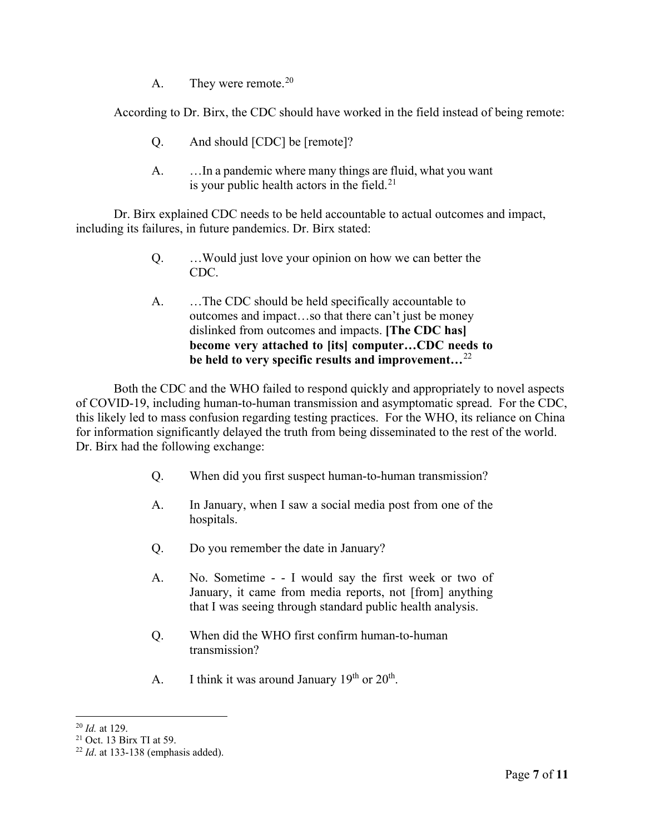A. They were remote.<sup>[20](#page-6-0)</sup>

According to Dr. Birx, the CDC should have worked in the field instead of being remote:

- Q. And should [CDC] be [remote]?
- A. …In a pandemic where many things are fluid, what you want is your public health actors in the field. $21$

Dr. Birx explained CDC needs to be held accountable to actual outcomes and impact, including its failures, in future pandemics. Dr. Birx stated:

- Q. …Would just love your opinion on how we can better the CDC.
- A. …The CDC should be held specifically accountable to outcomes and impact…so that there can't just be money dislinked from outcomes and impacts. **[The CDC has] become very attached to [its] computer…CDC needs to be held to very specific results and improvement…**[22](#page-6-2)

Both the CDC and the WHO failed to respond quickly and appropriately to novel aspects of COVID-19, including human-to-human transmission and asymptomatic spread. For the CDC, this likely led to mass confusion regarding testing practices. For the WHO, its reliance on China for information significantly delayed the truth from being disseminated to the rest of the world. Dr. Birx had the following exchange:

- Q. When did you first suspect human-to-human transmission?
- A. In January, when I saw a social media post from one of the hospitals.
- Q. Do you remember the date in January?
- A. No. Sometime - I would say the first week or two of January, it came from media reports, not [from] anything that I was seeing through standard public health analysis.
- Q. When did the WHO first confirm human-to-human transmission?
- A. I think it was around January  $19<sup>th</sup>$  or  $20<sup>th</sup>$ .

<span id="page-6-0"></span><sup>20</sup> *Id.* at 129.

<span id="page-6-1"></span> $21$  Oct. 13 Birx TI at 59.

<span id="page-6-2"></span><sup>22</sup> *Id*. at 133-138 (emphasis added).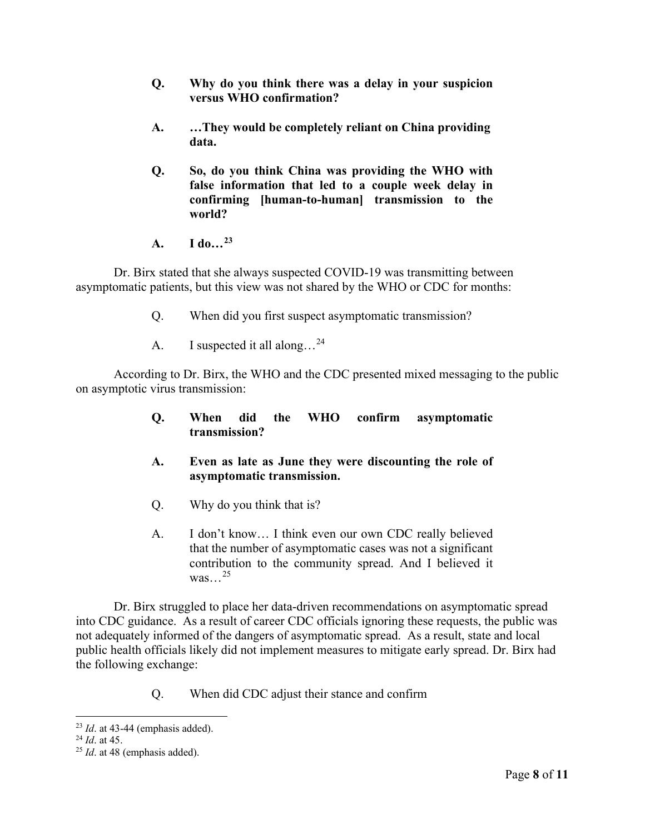- **Q. Why do you think there was a delay in your suspicion versus WHO confirmation?**
- **A. …They would be completely reliant on China providing data.**
- **Q. So, do you think China was providing the WHO with false information that led to a couple week delay in confirming [human-to-human] transmission to the world?**
- **A. I do…[23](#page-7-0)**

Dr. Birx stated that she always suspected COVID-19 was transmitting between asymptomatic patients, but this view was not shared by the WHO or CDC for months:

- Q. When did you first suspect asymptomatic transmission?
- A. I suspected it all along…[24](#page-7-1)

According to Dr. Birx, the WHO and the CDC presented mixed messaging to the public on asymptotic virus transmission:

- **Q. When did the WHO confirm asymptomatic transmission?**
- **A. Even as late as June they were discounting the role of asymptomatic transmission.**
- Q. Why do you think that is?
- A. I don't know… I think even our own CDC really believed that the number of asymptomatic cases was not a significant contribution to the community spread. And I believed it was… $^{25}$  $^{25}$  $^{25}$

Dr. Birx struggled to place her data-driven recommendations on asymptomatic spread into CDC guidance. As a result of career CDC officials ignoring these requests, the public was not adequately informed of the dangers of asymptomatic spread. As a result, state and local public health officials likely did not implement measures to mitigate early spread. Dr. Birx had the following exchange:

Q. When did CDC adjust their stance and confirm

<span id="page-7-0"></span><sup>23</sup> *Id*. at 43-44 (emphasis added). 24 *Id*. at 45.

<span id="page-7-1"></span>

<span id="page-7-2"></span><sup>25</sup> *Id*. at 48 (emphasis added).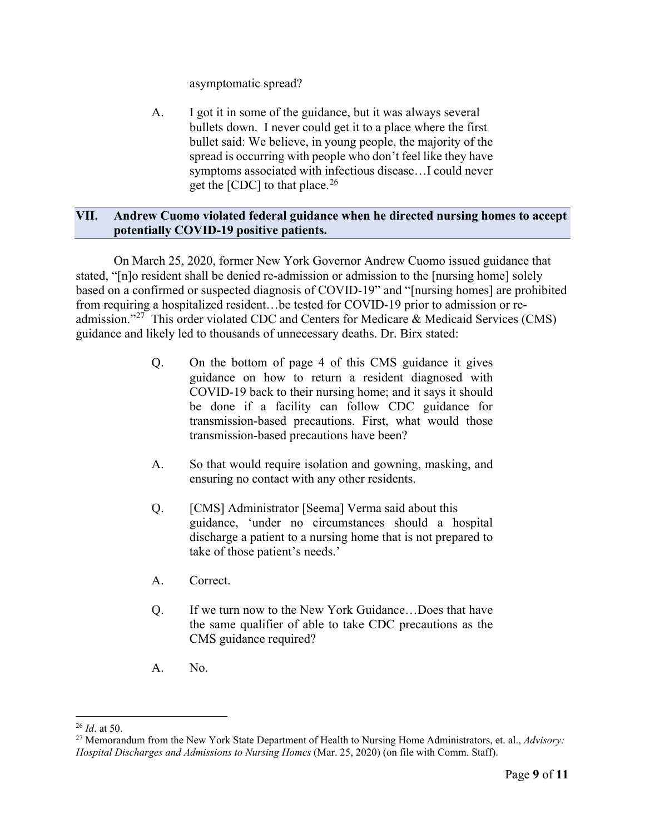asymptomatic spread?

A. I got it in some of the guidance, but it was always several bullets down. I never could get it to a place where the first bullet said: We believe, in young people, the majority of the spread is occurring with people who don't feel like they have symptoms associated with infectious disease…I could never get the [CDC] to that place.  $26$ 

## **VII. Andrew Cuomo violated federal guidance when he directed nursing homes to accept potentially COVID-19 positive patients.**

On March 25, 2020, former New York Governor Andrew Cuomo issued guidance that stated, "[n]o resident shall be denied re-admission or admission to the [nursing home] solely based on a confirmed or suspected diagnosis of COVID-19" and "[nursing homes] are prohibited from requiring a hospitalized resident…be tested for COVID-19 prior to admission or re-admission."<sup>[27](#page-8-1)</sup> This order violated CDC and Centers for Medicare & Medicaid Services (CMS) guidance and likely led to thousands of unnecessary deaths. Dr. Birx stated:

- Q. On the bottom of page 4 of this CMS guidance it gives guidance on how to return a resident diagnosed with COVID-19 back to their nursing home; and it says it should be done if a facility can follow CDC guidance for transmission-based precautions. First, what would those transmission-based precautions have been?
- A. So that would require isolation and gowning, masking, and ensuring no contact with any other residents.
- Q. [CMS] Administrator [Seema] Verma said about this guidance, 'under no circumstances should a hospital discharge a patient to a nursing home that is not prepared to take of those patient's needs.'
- A. Correct.
- Q. If we turn now to the New York Guidance…Does that have the same qualifier of able to take CDC precautions as the CMS guidance required?
- A. No.

<span id="page-8-0"></span><sup>26</sup> *Id*. at 50.

<span id="page-8-1"></span><sup>27</sup> Memorandum from the New York State Department of Health to Nursing Home Administrators, et. al., *Advisory: Hospital Discharges and Admissions to Nursing Homes* (Mar. 25, 2020) (on file with Comm. Staff).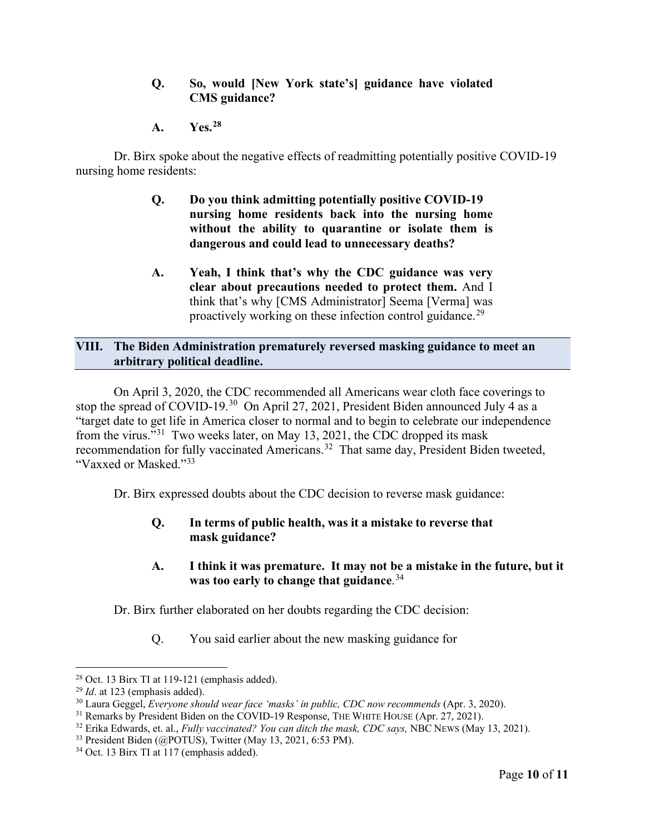## **Q. So, would [New York state's] guidance have violated CMS guidance?**

## **A. Yes.[28](#page-9-0)**

Dr. Birx spoke about the negative effects of readmitting potentially positive COVID-19 nursing home residents:

- **Q. Do you think admitting potentially positive COVID-19 nursing home residents back into the nursing home without the ability to quarantine or isolate them is dangerous and could lead to unnecessary deaths?**
- **A. Yeah, I think that's why the CDC guidance was very clear about precautions needed to protect them.** And I think that's why [CMS Administrator] Seema [Verma] was proactively working on these infection control guidance.<sup>[29](#page-9-1)</sup>

#### **VIII. The Biden Administration prematurely reversed masking guidance to meet an arbitrary political deadline.**

On April 3, 2020, the CDC recommended all Americans wear cloth face coverings to stop the spread of COVID-19.<sup>[30](#page-9-2)</sup> On April 27, 2021, President Biden announced July 4 as a "target date to get life in America closer to normal and to begin to celebrate our independence from the virus."[31](#page-9-3) Two weeks later, on May 13, 2021, the CDC dropped its mask recommendation for fully vaccinated Americans.<sup>[32](#page-9-4)</sup> That same day, President Biden tweeted, "Vaxxed or Masked."[33](#page-9-5)

Dr. Birx expressed doubts about the CDC decision to reverse mask guidance:

## **Q. In terms of public health, was it a mistake to reverse that mask guidance?**

# **A. I think it was premature. It may not be a mistake in the future, but it was too early to change that guidance**. [34](#page-9-6)

Dr. Birx further elaborated on her doubts regarding the CDC decision:

Q. You said earlier about the new masking guidance for

<span id="page-9-1"></span><span id="page-9-0"></span><sup>&</sup>lt;sup>28</sup> Oct. 13 Birx TI at 119-121 (emphasis added).<br><sup>29</sup> *Id.* at 123 (emphasis added).

<span id="page-9-4"></span><span id="page-9-3"></span>

<span id="page-9-2"></span><sup>&</sup>lt;sup>30</sup> Laura Geggel, *Everyone should wear face 'masks' in public, CDC now recommends* (Apr. 3, 2020).<br><sup>31</sup> Remarks by President Biden on the COVID-19 Response, THE WHITE HOUSE (Apr. 27, 2021).<br><sup>32</sup> Erika Edwards, et. al.,

<span id="page-9-5"></span>

<span id="page-9-6"></span>